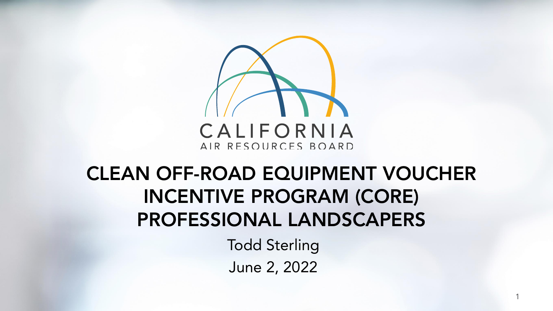

## **CLEAN OFF - ROAD EQUIPMENT VOUCHER INCENTIVE PROGRAM (CORE) PROFESSIONAL LANDSCAPERS**

Todd Sterling June 2, 2022

1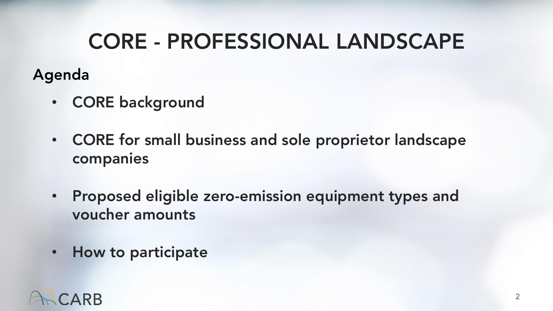## **CORE - PROFESSIONAL LANDSCAPE**

#### **Agenda**

- **CORE background**
- **CORE for small business and sole proprietor landscape companies**
- **Proposed eligible zero emission equipment types and voucher amounts**
- **How to participate**

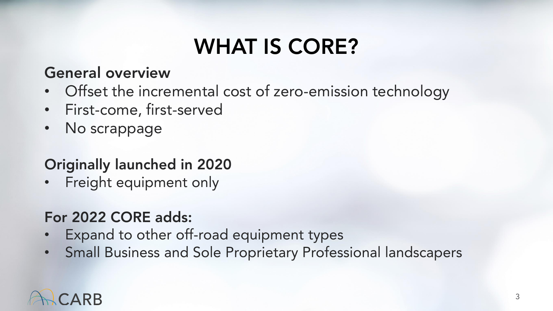# **WHAT IS CORE?**

#### **General overview**

- Offset the incremental cost of zero-emission technology
- First-come, first-served
- No scrappage

#### **Originally launched in 2020**

Freight equipment only

#### **For 2022 CORE adds:**

- Expand to other off-road equipment types
- Small Business and Sole Proprietary Professional landscapers

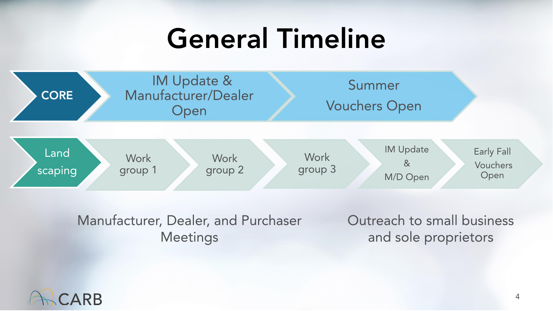# **General Timeline**



Manufacturer, Dealer, and Purchaser **Meetings** 

Outreach to small business and sole proprietors

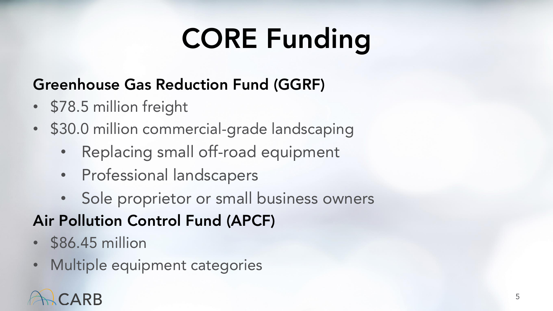# **CORE Funding**

#### **Greenhouse Gas Reduction Fund (GGRF)**

- \$78.5 million freight
- \$30.0 million commercial-grade landscaping
	- Replacing small off-road equipment
	- Professional landscapers
	- Sole proprietor or small business owners

#### **Air Pollution Control Fund (APCF)**

- \$86.45 million
- Multiple equipment categories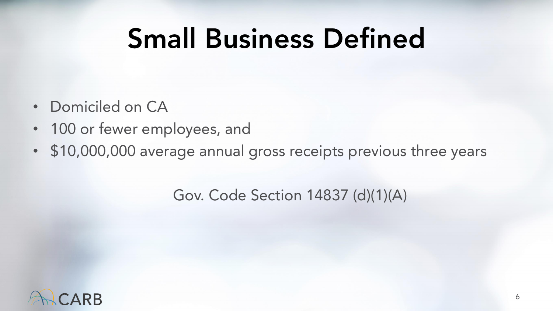# **Small Business Defined**

- Domiciled on CA
- 100 or fewer employees, and
- \$10,000,000 average annual gross receipts previous three years

Gov. Code Section 14837 (d)(1)(A)

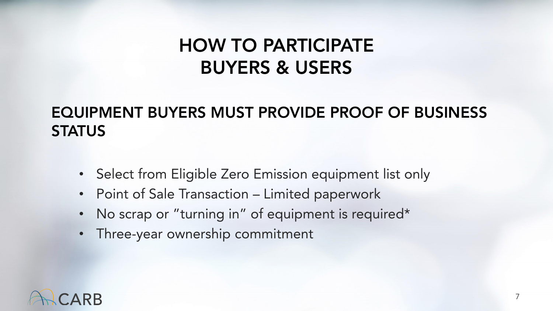#### **HOW TO PARTICIPATE BUYERS & USERS**

#### **EQUIPMENT BUYERS MUST PROVIDE PROOF OF BUSINESS STATUS**

- Select from Eligible Zero Emission equipment list only
- Point of Sale Transaction Limited paperwork
- No scrap or "turning in" of equipment is required\*
- Three-year ownership commitment

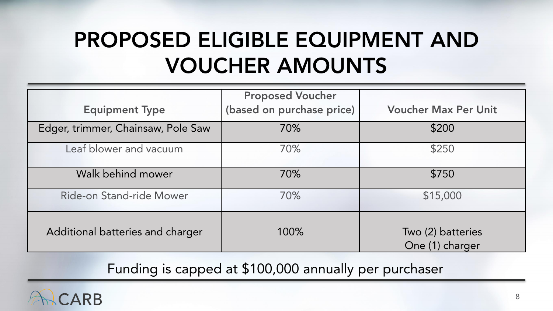# **PROPOSED ELIGIBLE EQUIPMENT AND VOUCHER AMOUNTS**

| <b>Equipment Type</b>              | <b>Proposed Voucher</b><br>(based on purchase price) | <b>Voucher Max Per Unit</b>          |
|------------------------------------|------------------------------------------------------|--------------------------------------|
| Edger, trimmer, Chainsaw, Pole Saw | 70%                                                  | \$200                                |
| Leaf blower and vacuum             | 70%                                                  | \$250                                |
| Walk behind mower                  | 70%                                                  | \$750                                |
| Ride-on Stand-ride Mower           | 70%                                                  | \$15,000                             |
| Additional batteries and charger   | 100%                                                 | Two (2) batteries<br>One (1) charger |

Funding is capped at \$100,000 annually per purchaser

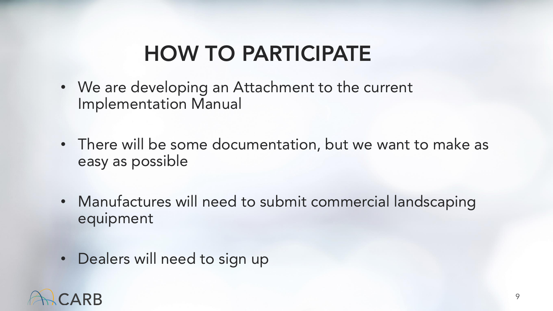# **HOW TO PARTICIPATE**

- We are developing an Attachment to the current Implementation Manual
- There will be some documentation, but we want to make as easy as possible
- Manufactures will need to submit commercial landscaping equipment
- Dealers will need to sign up

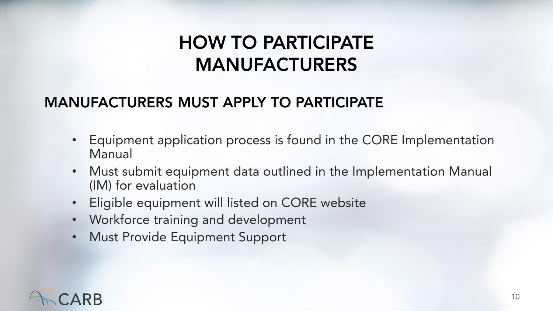### **HOW TO PARTICIPATE MANUFACTURERS**

#### **MANUFACTURERS MUST APPLY TO PARTICIPATE**

- Equipment application process is found in the CORE Implementation Manual
- Must submit equipment data outlined in the Implementation Manual (IM) for evaluation
- Eligible equipment will listed on CORE website
- Workforce training and development
- Must Provide Equipment Support

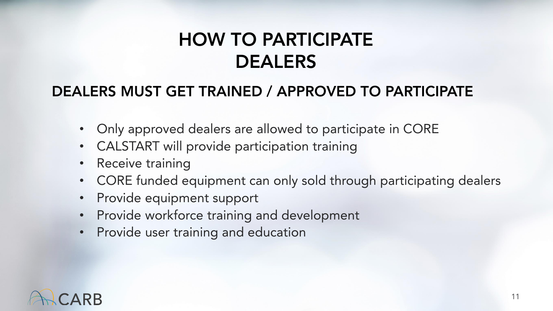### **HOW TO PARTICIPATE DEALERS**

#### **DEALERS MUST GET TRAINED / APPROVED TO PARTICIPATE**

- Only approved dealers are allowed to participate in CORE
- CALSTART will provide participation training
- Receive training
- CORE funded equipment can only sold through participating dealers
- Provide equipment support
- Provide workforce training and development
- Provide user training and education